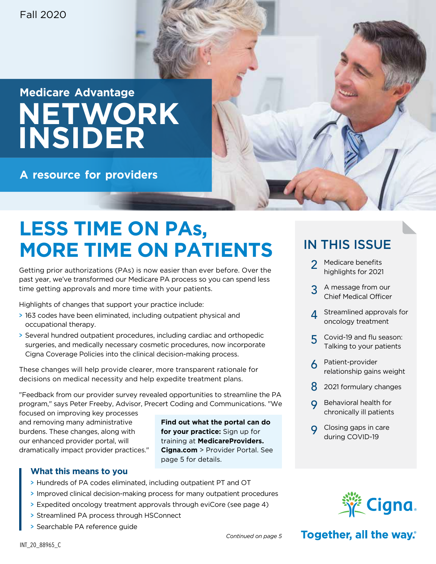## **Medicare Advantage NETWORK INSIDER**

**A resource for providers**

## **LESS TIME ON PAs, MORE TIME ON PATIENTS**

Getting prior authorizations (PAs) is now easier than ever before. Over the past year, we've transformed our Medicare PA process so you can spend less time getting approvals and more time with your patients.

Highlights of changes that support your practice include:

- > 163 codes have been eliminated, including outpatient physical and occupational therapy.
- > Several hundred outpatient procedures, including cardiac and orthopedic surgeries, and medically necessary cosmetic procedures, now incorporate Cigna Coverage Policies into the clinical decision-making process.

These changes will help provide clearer, more transparent rationale for decisions on medical necessity and help expedite treatment plans.

"Feedback from our provider survey revealed opportunities to streamline the PA program," says Peter Freeby, Advisor, Precert Coding and Communications. "We

focused on improving key processes and removing many administrative burdens. These changes, along with our enhanced provider portal, will dramatically impact provider practices."

**Find out what the portal can do for your practice:** Sign up for training at **[MedicareProviders.](https://www.hsconnectonline.com) Cigna.com** [> Provider Portal.](https://www.hsconnectonline.com) See page 5 for details.

#### **What this means to you**

- > Hundreds of PA codes eliminated, including outpatient PT and OT
- > Improved clinical decision-making process for many outpatient procedures
- > Expedited oncology treatment approvals through eviCore (see page 4)
- > Streamlined PA process through HSConnect
- > Searchable PA reference guide

### IN THIS ISSUE

- 2 Medicare benefits highlights for 2021
- 3 A message from our Chief Medical Officer
- 4 Streamlined approvals for oncology treatment
- Covid-19 and flu season: Talking to your patients
- 6 Patient-provider relationship gains weight
- 8 2021 formulary changes
- Behavioral health for chronically ill patients
- **Q** Closing gaps in care during COVID-19



Together, all the way.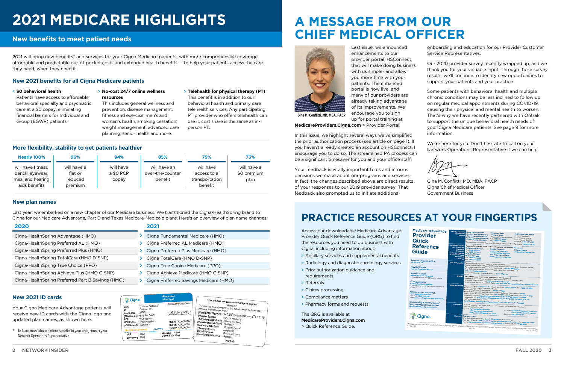# **2021 MEDICARE HIGHLIGHTS**

#### **New benefits to meet patient needs**

## **A MESSAGE FROM OUR CHIEF MEDICAL OFFICER**



Last issue, we announced enhancements to our provider portal, HSConnect, that will make doing business with us simpler and allow you more time with your patients. The enhanced portal is now live, and many of our providers are already taking advantage of its improvements. We encourage you to sign up for portal training at

**[MedicareProviders.Cigna.com](https://www.hsconnectonline.com)** > Provider Portal.

In this issue, we highlight several ways we've simplified the prior authorization process (see article on page 1). If you haven't already created an account on HSConnect, I encourage you to do so. The streamlined PA process can be a significant timesaver for you and your office staff.

Your feedback is vitally important to us and informs decisions we make about our programs and services. In fact, the changes described above are direct results of your responses to our 2019 provider survey. That feedback also prompted us to initiate additional

onboarding and education for our Provider Customer Service Representatives.

Our 2020 provider survey recently wrapped up, and we thank you for your valuable input. Through those survey results, we'll continue to identify new opportunities to support your patients and your practice.

Some patients with behavioral health and multiple chronic conditions may be less inclined to follow up on regular medical appointments during COVID-19, causing their physical and mental health to worsen. That's why we have recently partnered with Ontrak to support the unique behavioral health needs of your Cigna Medicare patients. See page 9 for more information.

**Emergency** <\$xx>  $<$ sxx>

 $x^2 + y^2 = 1$ PCP **RODAYS** 

**Specialist** 

We're here for you. Don't hesitate to call on your Network Operations Representative if we can help.

Gina M. Conflitti, MD, MBA, FACP Cigna Chief Medical Officer Government Business

**Gina M. Conflitti, MD, MBA, FACP**

**[<URL>]**

**al Claims** <Addre ns <Address>1

**[Provider Medical Claims [Pharmacy Help Desk [Pharmacy Claims [Dental Services [Provider Dental Claims**

<Phone Number>] <Address>] **Desk** <Phone Number>] <Address>] <Phone Number>] <Address>]

 $\geq$  ] and  $\geq$  $\geq$ ]

**PCP Phone**

This card is used for all plans **except** True Choice, EGWP, Leon and Arizona plans.

| <sup>∜</sup> Cigna. |   | <plan name=""><br/><plan type=""><br/><contract pbp[="" segment]=""></contract></plan></plan> | This card does not guarantee coverage or payment. |  |  |  |
|---------------------|---|-----------------------------------------------------------------------------------------------|---------------------------------------------------|--|--|--|
|                     |   |                                                                                               |                                                   |  |  |  |
|                     |   |                                                                                               |                                                   |  |  |  |
|                     | > | Cigna Preferred Savings Medicare (HMO)                                                        |                                                   |  |  |  |
|                     |   | Cigna Achieve Medicare (HMO C-SNP)                                                            |                                                   |  |  |  |
|                     |   |                                                                                               | Cigna True Choice Medicare (PPO)                  |  |  |  |
|                     | ⋗ | Cigna TotalCare (HMO D-SNP)                                                                   |                                                   |  |  |  |
|                     |   |                                                                                               |                                                   |  |  |  |

**Health Plan** [**Effective Date** receive new ID cards with the Cigna logo and **PCP Network PCP Phone Serions Network>** Your Cigna Medicare Advantage patients will updated plan names, as shown here:

**[No Referral Required] COPAYS**

RxBIN <XXXXXXX<br>RxPCN <XXXXXXXX **RxGRP** <XXXXXXX

Specialist
Virgent Care  $$\$xx>$ 

INT\_21\_89712\_C

#### **New 2021 ID cards**

\* To learn more about patient benefits in your area, contact your Network Operations Representative.

### **PRACTICE RESOURCES AT YOUR FINGERTIPS**

Access our downloadable Medicare Advantage Provider Quick Reference Guide (QRG) to find the resources you need to do business with Cigna, including information about:

- > Ancillary services and supplemental benefits
- > Radiology and diagnostic cardiology services
- > Prior authorization guidance and requirements
- > Referrals
- > Claims processing
- > Compliance matters
- > Pharmacy forms and requests

The QRG is available at

**[MedicareProviders.Cigna.com](http://MedicareProviders.Cigna.com)**

> Quick Reference Guide.

| <b>Medicare Advantage</b><br><b>Provider</b><br><b>Quick</b>                                                                                                                                                                                                                                                                                                                                                                                                                                                                                                     | <b>Ancillary Services /</b><br><b>Supplemental</b><br><b>Benefits</b>                                                                                                                                                                                                                                                         | Please visit our provider<br>directory for a current listing<br>of participating laboratories.<br>MedicareProviders.Cigna.com<br>> Online Provider Directory                                                                                                                                                                                                                                                                                                                                                                                                                                                                                                                           | <b>Behavioral Health</b><br><b>Substance Abuse</b><br>(Please call for authorizations)<br>Call: 1-866-780-8546<br>Fax: 1-866-949-4846<br>For questions concerning Supplemental Benefits, please call Provider Service: 1-800-230-6138 | <b>Post Hospital Meal Benefit</b><br>Available to patients<br>post-discharge from an<br>acute inpatient stay. Call<br>GA Foods: 1-866-481-2721 |  |
|------------------------------------------------------------------------------------------------------------------------------------------------------------------------------------------------------------------------------------------------------------------------------------------------------------------------------------------------------------------------------------------------------------------------------------------------------------------------------------------------------------------------------------------------------------------|-------------------------------------------------------------------------------------------------------------------------------------------------------------------------------------------------------------------------------------------------------------------------------------------------------------------------------|----------------------------------------------------------------------------------------------------------------------------------------------------------------------------------------------------------------------------------------------------------------------------------------------------------------------------------------------------------------------------------------------------------------------------------------------------------------------------------------------------------------------------------------------------------------------------------------------------------------------------------------------------------------------------------------|---------------------------------------------------------------------------------------------------------------------------------------------------------------------------------------------------------------------------------------|------------------------------------------------------------------------------------------------------------------------------------------------|--|
| <b>Reference</b><br><b>Guide</b><br><b>Provider customer service</b>                                                                                                                                                                                                                                                                                                                                                                                                                                                                                             | Precertification for:<br><b>High-Technology</b><br><b>Radiology</b><br><b>Diagnostic</b><br><b>Cardiology Services,</b><br><b>Radiation Therapy</b><br>and Medical<br>Oncology                                                                                                                                                | Radiology/Cardiology:<br>Call: 1-888-693-3211<br>Fax: 1-888-693-3210<br>Radiation Therapy/<br><b>Medical Oncology:</b><br>Call: 1-866-686-4452<br>Fax: 1-800-540-2406                                                                                                                                                                                                                                                                                                                                                                                                                                                                                                                  | Please call at numbers below for Precertification or go online to: evicore.com<br><b>Provider Resources:</b><br>evicore.com/resources/<br>healthplan/cigna-medicare<br><b>Web Portal Support Email:</b><br>portal.support@evicore.com | <b>Customer Service</b><br>clientservices@evicore.com                                                                                          |  |
| 1-800-230-6138<br><b>Prior Authorization</b><br>Prior Authorization must be obtained for the following services:<br>Inpatient and Elective Admission Notification, Home Health Care, DME and Outpatient Services.<br><b>Provider website</b><br>For requirements, visit: MedicareProviders.Cigna.com > Prior Authorization<br>MedicareProviders.Cigna.com<br>Prior Authorization can be obtained through HS Connect Provider Portal:<br><b>HSConnectOnline.com/Login</b><br>or by calling Provider Customer Service at: 1-800-230-6138<br><b>Provider manual</b> |                                                                                                                                                                                                                                                                                                                               |                                                                                                                                                                                                                                                                                                                                                                                                                                                                                                                                                                                                                                                                                        |                                                                                                                                                                                                                                       |                                                                                                                                                |  |
| MedicareProviders.Cigna.com<br>> Provider Manuals > 2020 Provider Manual<br><b>ID card examples</b><br>MedicareProviders.Cigna.com                                                                                                                                                                                                                                                                                                                                                                                                                               | Referrals HMO referrals vary by plan. PPO plan referrals are not required.<br>Referrals for specialists can be obtained through our HS Connect Provider Portal.<br>To register for HSConnect visit: HSConnectOnline.com/Login<br>To call or email the HSConnect Help Desk: 1-866-952-7596   HSConnectHelp@HSConnectOnline.com |                                                                                                                                                                                                                                                                                                                                                                                                                                                                                                                                                                                                                                                                                        |                                                                                                                                                                                                                                       |                                                                                                                                                |  |
| > Provider Manuals > 2020 Provider Manual<br>$>$ Page 14<br><b>Provider portal: HSConnect</b><br>www.HSConnectOnline.com<br>Help Desk: 1-866-952-7596<br>Email: HSConnectHelp@HSConnectOnline.com<br>ICD-10 coding & documentation/                                                                                                                                                                                                                                                                                                                              | <b>Claim Processing</b>                                                                                                                                                                                                                                                                                                       | Claims questions: 1-800-230-6138   Appeals questions: 1-800-511-6943   Fax: 1-800-931-0149<br>Electronic claims may be submitted through:<br>. Change Healthcare/Availity (Payor ID: 63092 or 52192)<br>- SSIGroup/Proxymed/Medassets/Zirmed/OfficeAlly/GatewayEDI (Payor ID: 63092)<br>Relay Health (Professional claims CPID: 2795 or 3839, Institutional claims CPID: 1556 or 1978)<br>Mail Paper Claims to: Cigna Medicare Advantage, PO Box 981706, El Paso, TX 79998<br>Mail Appeals to: Cigna Medicare Advantage Appeals, PO Box 24087, Nashville, TN 37202<br>Mail Reconsideration Requests to:<br>Cigna Medicare Advantage Reconsiderations, PO Box 20002 Nashville, TN 37202 |                                                                                                                                                                                                                                       |                                                                                                                                                |  |
| 360 Comprehensive Assessment<br>MedicareProviders.Cigna.com/icd-10                                                                                                                                                                                                                                                                                                                                                                                                                                                                                               | <b>Compliance</b>                                                                                                                                                                                                                                                                                                             | To report potential fraud, waste, or abuse please contact Cigna Medicare Advantage's<br>Special Investigations Unit.<br>By mail: Cigna Medicare Advantage<br><b>Attn: Special Investigations Unit</b><br>PO Box 20002, Nashville, TN 37202                                                                                                                                                                                                                                                                                                                                                                                                                                             |                                                                                                                                                                                                                                       | By email: SpecialInvestigations@Cigna.com<br><b>Attn: Cigna Medicare Operations</b><br>By phone: 1-800-667-7145                                |  |
| Jigna.                                                                                                                                                                                                                                                                                                                                                                                                                                                                                                                                                           | Pharmacy                                                                                                                                                                                                                                                                                                                      | <b>Pharmacy - Part D</b><br>Prior Authorization Requests: CoverMyMeds.com (Preferred method)<br>Formulary Website: Cigna.com/Medicare/Resources/Drug-List-Formulary   Fax: 1-866-845-7267<br>Forms: Cigna.com/Medicare/Resources/Drug-Search   Questions? Call: 1-877-813-5595                                                                                                                                                                                                                                                                                                                                                                                                         | All Ogna products and services are provided exclusively by or through operating subsidiaries of Cigna Corporation. The Cigna name, logos, and other Cigna marks are owned by Cigna Intellectual Property, Inc.                        |                                                                                                                                                |  |

#### > **\$0 behavioral health**

Patients have access to affordable behavioral specialty and psychiatric care at a \$0 copay, eliminating financial barriers for Individual and Group (EGWP) patients.

#### > **No-cost 24/7 online wellness resources**

This includes general wellness and prevention, disease management, fitness and exercise, men's and women's health, smoking cessation, weight management, advanced care planning, senior health and more.

> **Telehealth for physical therapy (PT)**  This benefit is in addition to our behavioral health and primary care telehealth services. Any participating PT provider who offers telehealth can use it; cost share is the same as inperson PT.

#### **More flexibility, stability to get patients healthier**

| 2020                                              | 2021                                   |
|---------------------------------------------------|----------------------------------------|
| Cigna-HealthSpring Advantage (HMO)                | Cigna Fundamental Medicare (HMO)       |
| Cigna-HealthSpring Preferred AL (HMO)             | Cigna Preferred AL Medicare (HMO)      |
| Cigna-HealthSpring Preferred Plus (HMO)           | Cigna Preferred Plus Medicare (HMO)    |
| Cigna-HealthSpring TotalCare (HMO D-SNP)          | Cigna TotalCare (HMO D-SNP)            |
| Cigna-HealthSpring True Choice (PPO)              | Cigna True Choice Medicare (PPO)       |
| Cigna-HealthSpring Achieve Plus (HMO C-SNP)       | Cigna Achieve Medicare (HMO C-SNP)     |
| Cigna-HealthSpring Preferred Part B Savings (HMO) | Cigna Preferred Savings Medicare (HMO) |
|                                                   |                                        |

#### **New plan names**

Last year, we embarked on a new chapter of our Medicare business. We transitioned the Cigna-HealthSpring brand to Cigna for our Medicare Advantage, Part D and Texas Medicare-Medicaid plans. Here's an overview of plan name changes.

2021 will bring new benefits\* and services for your Cigna Medicare patients, with more comprehensive coverage, affordable and predictable out-of-pocket costs and extended health benefits — to help your patients access the care they need, when they need it.

#### **New 2021 benefits for all Cigna Medicare patients**

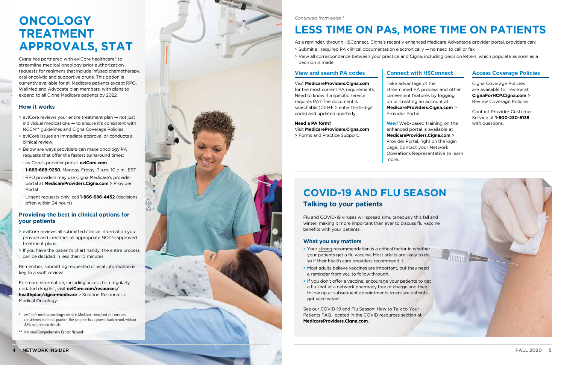## **ONCOLOGY TREATMENT APPROVALS, STAT**

Cigna has partnered with eviCore healthcare\* to streamline medical oncology prior authorization requests for regimens that include infused chemotherapy, oral oncolytic and supportive drugs. This option is currently available for all Medicare patients except RPO, WellMed and Advocate plan members, with plans to expand to all Cigna Medicare patients by 2022.

#### **How it works**

- > eviCore reviews your entire treatment plan not just individual medications — to ensure it's consistent with NCCN\*\* guidelines and Cigna Coverage Policies.
- > eviCore issues an immediate approval or conducts a clinical review.
- > Below are ways providers can make oncology PA requests that offer the fastest turnaround times: • eviCore's provider portal: **eviCore.com**
- 
- **1-866-668-9250**, Monday-Friday, 7 a.m.-10 p.m., EST
- RPO providers may use Cigna Medicare's provider portal at **[MedicareProviders.Cigna.com](https://www.hsconnectonline.com)** > Provider [Portal](https://www.hsconnectonline.com)
- Urgent requests only, call **1-866-686-4452** (decisions often within 24 hours)

#### **Providing the best in clinical options for your patients**

- > eviCore reviews all submitted clinical information you provide and identifies all appropriate NCCN-approved treatment plans.
- > If you have the patient's chart handy, the entire process can be decided in less than 10 minutes.

Remember, submitting requested clinical information is key to a swift review!

For more information, including access to a regularly updated drug list, visit **[eviCore.com/resources/](http://www.evicore.com/resources/healthplan/cigna-medicare) [healthplan/cigna-medicare](http://www.evicore.com/resources/healthplan/cigna-medicare)** > Solution Resources > Medical Oncology.

- \* eviCore's medical oncology criteria is Medicare-compliant and ensures consistency in clinical practice. The program has a proven track record, with an 86% reduction in denials.
- \*\* National Comprehensive Cancer Network



### **COVID-19 AND FLU SEASON Talking to your patients**

Flu and COVID-19 viruses will spread simultaneously this fall and winter, making it more important than ever to discuss flu vaccine benefits with your patients.

#### **What you say matters**

- > Your strong recommendation is a critical factor in whether your patients get a flu vaccine. Most adults are likely to do so if their health care providers recommend it.
- > Most adults believe vaccines are important, but they need a reminder from you to follow through.
- > If you don't offer a vaccine, encourage your patients to get a flu shot at a network pharmacy free of charge and then follow up at subsequent appointments to ensure patients got vaccinated.

See our COVID-19 and Flu Season: How to Talk to Your Patients FAQ, located in the COVID resources section at **[MedicareProviders.Cigna.com](http://MedicareProviders.Cigna.com)** .

#### *Continued from page 1*

## **LESS TIME ON PAS, MORE TIME ON PATIENTS**

As a reminder, through HSConnect, Cigna's recently enhanced Medicare Advantage provider portal, providers can: > Submit all required PA clinical documentation electronically — no need to call or fax

> View all correspondence between your practice and Cigna, including decision letters, which populate as soon as a

- 
- decision is made

#### **View and search PA codes**

#### Visit **[MedicareProviders.Cigna.com](http://MedicareProviders.Cigna.com)**

for the most current PA requirements. Need to know if a specific service requires PA? The document is searchable (Ctrl+F > enter the 5-digit code) and updated quarterly.

#### **Need a PA form?**

Visit **[MedicareProviders.Cigna.com](https://medicareproviders.cigna.com/forms)** [> Forms and Practice Support](https://medicareproviders.cigna.com/forms).

#### **Connect with HSConnect**

Take advantage of the streamlined PA process and other convenient features by logging on or creating an account at **[MedicareProviders.Cigna.com](https://www.hsconnectonline.com)** > [Provider Portal](https://www.hsconnectonline.com).

*New!* Web-based training on the enhanced portal is available at **[MedicareProviders.Cigna.com](https://www.hsconnectonline.com)** > [Provider Portal,](https://www.hsconnectonline.com) right on the login page. Contact your Network Operations Representative to learn more.

#### **Access Coverage Policies**

Cigna Coverage Policies are available for review at **[CignaForHCP.Cigna.com](https://cignaforhcp.cigna.com/app/login)** > [Review Coverage Policies.](https://cignaforhcp.cigna.com/app/login)

Contact Provider Customer Service at **1-800-230-6138** with questions.

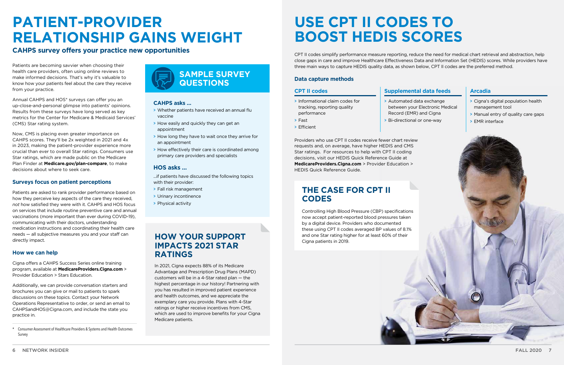

#### **CPT II codes Supplemental data feeds Arcadia**

## **PATIENT-PROVIDER RELATIONSHIP GAINS WEIGHT**

#### **CAHPS survey offers your practice new opportunities**

Patients are becoming savvier when choosing their health care providers, often using online reviews to make informed decisions. That's why it's valuable to know how your patients feel about the care they receive from your practice.

Annual CAHPS and HOS\* surveys can offer you an up-close-and-personal glimpse into patients' opinions. Results from these surveys have long served as key metrics for the Center for Medicare & Medicaid Services' (CMS) Star rating system.

Now, CMS is placing even greater importance on CAHPS scores. They'll be 2x weighted in 2021 and 4x in 2023, making the patient-provider experience more crucial than ever to overall Star ratings. Consumers use Star ratings, which are made public on the Medicare Plan Finder at **[Medicare.gov/plan-compare](http://www.medicare.gov/plan-compare)**, to make decisions about where to seek care.

#### **Surveys focus on patient perceptions**

Patients are asked to rank provider performance based on how they perceive key aspects of the care they received, *not* how satisfied they were with it. CAHPS and HOS focus on services that include routine preventive care and annual vaccinations (more important than ever during COVID-19), communicating with their doctors, understanding medication instructions and coordinating their health care needs — all subjective measures you and your staff can directly impact.

#### **How we can help**

Cigna offers a CAHPS Success Series online training program, available at **[MedicareProviders.Cigna.com](https://medicareproviders.cigna.com/icd-10)** > [Provider Education > Stars Education](https://medicareproviders.cigna.com/icd-10).

Additionally, we can provide conversation starters and brochures you can give or mail to patients to spark discussions on these topics. Contact your Network Operations Representative to order, or send an email to CAHPSandHOS@Cigna.com, and include the state you practice in.

### **HOW YOUR SUPPORT** and one Star rating higher than  $\sum_{\text{Cigna patients in 2019}}$ **IMPACTS 2021 STAR RATINGS**

\* Consumer Assessment of Healthcare Providers & Systems and Health Outcomes Survey

Providers who use CPT II codes receive fewer chart review requests and, on average, have higher HEDIS and CMS Star ratings. For resources to help with CPT II coding decisions, visit our HEDIS Quick Reference Guide at **[MedicareProviders.Cigna.com](https://medicareproviders.cigna.com/icd-10)** > Provider Education > [HEDIS Quick Reference Guide](https://medicareproviders.cigna.com/icd-10).

#### **CAHPS asks …**

- > Whether patients have received an annual flu vaccine
- > How easily and quickly they can get an appointment
- > How long they have to wait once they arrive for an appointment
- > How effectively their care is coordinated among primary care providers and specialists

#### **HOS asks …**

...if patients have discussed the following topics with their provider:

- > Fall risk management
- > Urinary incontinence
- > Physical activity



## **USE CPT II CODES TO BOOST HEDIS SCORES**

CPT II codes simplify performance measure reporting, reduce the need for medical chart retrieval and abstraction, help close gaps in care and improve Healthcare Effectiveness Data and Information Set (HEDIS) scores. While providers have three main ways to capture HEDIS quality data, as shown below, CPT II codes are the preferred method.

#### **Data capture methods**

> Fast > Efficient

- > Informational claim codes for tracking, reporting quality performance
- > Bi-directional or one-way

> Automated data exchange between your Electronic Medical Record (EMR) and Cigna

- > Cigna's digital population health management tool
- > Manual entry of quality care gaps
- > EMR interface

### **THE CASE FOR CPT II CODES**

Controlling High Blood Pressure (CBP) specifications now accept patient-reported blood pressures taken by a digital device. Providers who documented these using CPT II codes averaged BP values of 8.1% and one Star rating higher for at least 60% of their



In 2021, Cigna expects 88% of its Medicare Advantage and Prescription Drug Plans (MAPD) customers will be in a 4-Star rated plan — the highest percentage in our history! Partnering with you has resulted in improved patient experience and health outcomes, and we appreciate the exemplary care you provide. Plans with 4-Star ratings or higher receive incentives from CMS, which are used to improve benefits for your Cigna Medicare patients.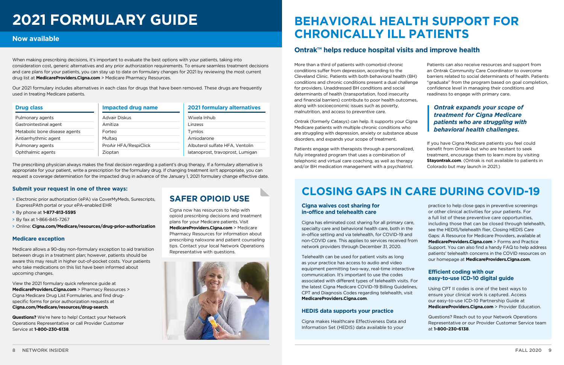## **BEHAVIORAL HEALTH SUPPORT FOR CHRONICALLY ILL PATIENTS**

### **Ontrak™ helps reduce hospital visits and improve health**

Ontrak (formerly Catasys) can help. It supports your Cigna Medicare patients with multiple chronic conditions who are struggling with depression, anxiety or substance abuse disorders, and expands your scope of treatment.

Patients engage with therapists through a personalized, fully integrated program that uses a combination of telephonic and virtual care coaching, as well as therapy and/or BH medication management with a psychiatrist.

If you have Cigna Medicare patients you feel could benefit from Ontrak but who are hesitant to seek treatment, encourage them to learn more by visiting **[Stayontrak.com](http://www.stayontrak.com).** (Ontrak is not available to patients in Colorado but may launch in 2021.)

### **CLOSING GAPS IN CARE DURING COVID-19**

#### **Cigna waives cost sharing for in-office and telehealth care**

as your practice has access to audio and video equipment permitting two-way, real-time interactive communication. It's important to use the codes the latest Cigna Medicare COVID-19 Billing Guidelines, CPT and Diagnosis Codes regarding telehealth, visit **[MedicareProviders.Cigna.com](http://MedicareProviders.Cigna.com)**.

More than a third of patients with comorbid chronic conditions suffer from depression, according to the Cleveland Clinic. Patients with both behavioral health (BH) conditions and chronic conditions present a dual challenge for providers. Unaddressed BH conditions and social determinants of health (transportation, food insecurity and financial barriers) contribute to poor health outcomes, along with socioeconomic issues such as poverty, malnutrition, and access to preventive care. Patients can also receive resources and support from an Ontrak Community Care Coordinator to overcome barriers related to social determinants of health. Patients "graduate" from the program based on goal completion, confidence level in managing their conditions and readiness to engage with primary care. *Ontrak expands your scope of* 

#### **HEDIS data supports your practice**

Cigna has eliminated cost sharing for all primary care, specialty care and behavioral health care, both in the in-office setting and via telehealth, for COVID-19 and non-COVID care. This applies to services received from network providers through December 31, 2020. Telehealth can be used for patient visits as long associated with different types of telehealth visits. For practice to help close gaps in preventive screenings or other clinical activities for your patients. For a full list of these preventive care opportunities, including those that can be closed through telehealth, see the HEDIS/telehealth flier, Closing HEDIS Care Gaps: A Resource for Medicare Providers, available at **[MedicareProviders.Cigna.com](https://medicareproviders.cigna.com/forms)** > Forms and Practice [Support.](https://medicareproviders.cigna.com/forms) You can also find a handy FAQ to help address patients' telehealth concerns in the COVID resources on our homepage at **[MedicareProviders.Cigna.com](https://medicareproviders.cigna.com/static/medicareproviders-cigna-com/docs/covid-19-telehealth-patient-faq.pdf)**. **Efficient coding with our easy-to-use ICD-10 digital guide** 

Cigna makes Healthcare Effectiveness Data and Information Set (HEDIS) data available to your

Using CPT II codes is one of the best ways to ensure your clinical work is captured. Access our easy-to-use ICD-10 Partnership Guide at **[MedicareProviders.Cigna.com](https://medicareproviders.cigna.com/icd-10)** > Provider Education.

Questions? Reach out to your Network Operations Representative or our Provider Customer Service team at **1-800-230-6138**.

# **2021 FORMULARY GUIDE**

When making prescribing decisions, it's important to evaluate the best options with your patients, taking into consideration cost, generic alternatives and any prior authorization requirements. To ensure seamless treatment decisions and care plans for your patients, you can stay up to date on formulary changes for 2021 by reviewing the most current drug list at **MedicareProviders.Cigna.com** [> Medicare Pharmacy Resources.](https://medicareproviders.cigna.com/pharmacy-resources)

Our 2021 formulary includes alternatives in each class for drugs that have been removed. These drugs are frequently used in treating Medicare patients.

#### **Now available**

| <b>Drug class</b>             | <b>Impacted drug name</b> | <b>2021 formulary alternatives</b> |
|-------------------------------|---------------------------|------------------------------------|
| Pulmonary agents              | Advair Diskus             | Wixela Inhub                       |
| Gastrointestinal agent        | Amitiza                   | Linzess                            |
| Metabolic bone disease agents | Forteo                    | Tymlos                             |
| Antiarrhythmic agent          | Multag                    | Amiodarone                         |
| Pulmonary agents              | ProAir HFA/RespiClick     | Albuterol sulfate HFA, Ventolin    |
| Ophthalmic agents             | Zioptan                   | latanoprost, travoprost, Lumigan   |

*treatment for Cigna Medicare patients who are struggling with behavioral health challenges.* 

The prescribing physician always makes the final decision regarding a patient's drug therapy. If a formulary alternative is appropriate for your patient, write a prescription for the formulary drug. If changing treatment isn't appropriate, you can request a coverage determination for the impacted drug in advance of the January 1, 2021 formulary change effective date.

#### **Submit your request in one of three ways:**

- > Electronic prior authorization (ePA) via CoverMyMeds, Surescripts, ExpressPAth portal or your ePA-enabled EHR
- > By phone at **1-877-813-5595**
- > By fax at 1-866-845-7267
- > Online: **[Cigna.com/Medicare/resources/drug-prior-authorization](http://Cigna.com/Medicare/resources/drug-prior-authorization)**

#### **Medicare exception**

Medicare allows a 90-day non-formulary exception to aid transition between drugs in a treatment plan; however, patients should be aware this may result in higher out-of-pocket costs. Your patients who take medications on this list have been informed about upcoming changes.

View the 2021 formulary quick reference guide at **[MedicareProviders.Cigna.com](https://medicareproviders.cigna.com/pharmacy-resources)** > Pharmacy Resources > [Cigna Medicare Drug List Formularies,](https://medicareproviders.cigna.com/pharmacy-resources) and find drugspecific forms for prior authorization requests at **[Cigna.com/Medicare/resources/drug-search](http://Cigna.com/Medicare/resources/drug-search)**.

**Questions?** We're here to help! Contact your Network Operations Representative or call Provider Customer Service at **1-800-230-6138**.

### **SAFER OPIOID USE**

Cigna now has resources to help with opioid prescribing decisions and treatment plans for your Medicare patients. Visit **[MedicareProviders.Cigna.com](https://medicareproviders.cigna.com/pharmacy-resources)** > Medicare [Pharmacy Resources](https://medicareproviders.cigna.com/pharmacy-resources) for information about prescribing naloxone and patient counseling tips. Contact your local Network Operations Representative with questions.

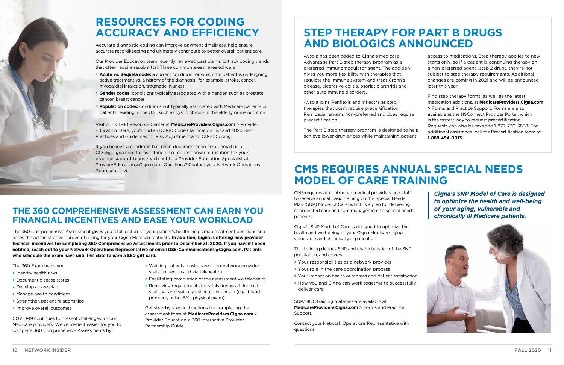### **CMS REQUIRES ANNUAL SPECIAL NEEDS MODEL OF CARE TRAINING**

CMS requires all contracted medical providers and staff to receive annual basic training on the Special Needs Plan (SNP) Model of Care, which is a plan for delivering coordinated care and care management to special needs patients.

Cigna's SNP Model of Care is designed to optimize the health and well-being of your Cigna Medicare aging, vulnerable and chronically ill patients.

This training defines SNP and characteristics of the SNP population, and covers:

- > Your responsibilities as a network provider
- > Your role in the care coordination process
- > Your impact on health outcomes and patient satisfaction
- > How you and Cigna can work together to successfully deliver care

SNP/MOC training materials are available at **[MedicareProviders.Cigna.com](https://medicareproviders.cigna.com/forms)** > Forms and Practice [Support.](https://medicareproviders.cigna.com/forms)

Contact your Network Operations Representative with questions.

### **THE 360 COMPREHENSIVE ASSESSMENT CAN EARN YOU FINANCIAL INCENTIVES AND EASE YOUR WORKLOAD**

The 360 Comprehensive Assessment gives you a full picture of your patient's health, helps map treatment decisions and eases the administrative burden of caring for your Cigna Medicare patients. **In addition, Cigna is offering new provider financial incentives for completing 360 Comprehensive Assessments prior to December 31, 2020. If you haven't been notified, reach out to your Network Operations Representative or email [DSS-Communications@Cigna.com.](mailto:DSS-Communications@Cigna.com) Patients who schedule the exam have until this date to earn a \$50 gift card.**

The 360 Exam helps you:

- > Identify health risks
- > Document disease states
- > Develop a care plan
- > Manage health conditions
- > Strengthen patient relationships
- > Improve overall outcomes

COVID-19 continues to present challenges for our Medicare providers. We've made it easier for you to complete 360 Comprehensive Assessments by:

- > Waiving patients' cost-share for in-network provider visits (in person and via telehealth)
- > Facilitating completion of the assessment via telehealth
- > Removing requirements for vitals during a telehealth visit that are typically collected in person (e.g., blood pressure, pulse, BMI, physical exam).

Get step-by-step instructions for completing the assessment form at **[MedicareProviders.Cigna.com](https://medicareproviders.cigna.com/icd-10)** > [Provider Education > 360 Interactive Provider](https://medicareproviders.cigna.com/icd-10)  [Partnership Guide](https://medicareproviders.cigna.com/icd-10).



### **RESOURCES FOR CODING ACCURACY AND EFFICIENCY**

Accurate diagnostic coding can improve payment timeliness, help ensure accurate recordkeeping and ultimately contribute to better overall patient care.

Our Provider Education team recently reviewed past claims to track coding trends that often require resubmittal. Three common areas revealed were:

- > **Acute vs. Sequela code:** a current condition for which the patient is undergoing active treatment vs. a history of the diagnosis (for example, stroke, cancer, myocardial infarction, traumatic injuries)
- > **Gender codes:** conditions typically associated with a gender, such as prostate cancer, breast cancer
- > **Population codes:** conditions not typically associated with Medicare patients or patients residing in the U.S., such as cystic fibrosis in the elderly or malnutrition

Visit our ICD-10 Resource Center at **[MedicareProviders.Cigna.com](https://medicareproviders.cigna.com/icd-10)** > Provider [Education.](https://medicareproviders.cigna.com/icd-10) Here, you'll find an ICD-10 Code Clarification List and 2020 Best Practices and Guidelines for Risk Adjustment and ICD-10 Coding.

If you believe a condition has been documented in error, email us at CCQI@Cigna.com for assistance. To request onsite education for your practice support team, reach out to a Provider Education Specialist at ProviderEducation@Cigna.com. Questions? Contact your Network Operations Representative.

### **STEP THERAPY FOR PART B DRUGS AND BIOLOGICS ANNOUNCED**

Avsola has been added to Cigna's Medicare Advantage Part B step therapy program as a preferred immunomodulator agent. The addition gives you more flexibility with therapies that regulate the immune system and treat Crohn's disease, ulcerative colitis, psoriatic arthritis and other autoimmune disorders.

Avsola joins Renflexis and Inflectra as step 1 therapies that don't require precertification. Remicade remains non-preferred and does require precertification.

The Part B step therapy program is designed to help achieve lower drug prices while maintaining patient

access to medications. Step therapy applies to new starts only, so if a patient is continuing therapy on a non-preferred agent (step 2 drug), they're not subject to step therapy requirements. Additional changes are coming in 2021 and will be announced later this year.

Find step therapy forms, as well as the latest medication additions, at **[MedicareProviders.Cigna.com](https://medicareproviders.cigna.com/forms)**  > [Forms and Practice Support.](https://medicareproviders.cigna.com/forms) Forms are also available at the HSConnect Provider Portal, which is the fastest way to request precertification. Requests can also be faxed to 1-877-730-3858. For additional assistance, call the Precertification team at **1-888-454-0013**.

*Cigna's SNP Model of Care is designed to optimize the health and well-being of your aging, vulnerable and chronically ill Medicare patients.*